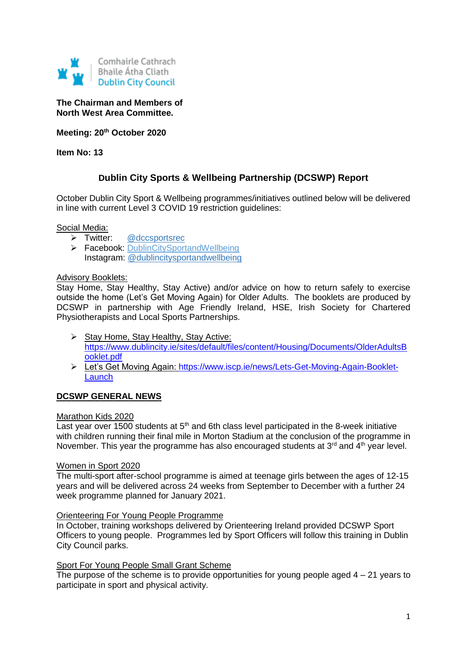

## **The Chairman and Members of North West Area Committee.**

**Meeting: 20th October 2020**

**Item No: 13**

# **Dublin City Sports & Wellbeing Partnership (DCSWP) Report**

October Dublin City Sport & Wellbeing programmes/initiatives outlined below will be delivered in line with current Level 3 COVID 19 restriction guidelines:

## Social Media:

- > Twitter: [@dccsportsrec](https://twitter.com/dccsportsrec)
- Facebook: [DublinCitySportandWellbeing](https://www.facebook.com/DublinCitySportandWellbeingPartnership/) Instagram: [@dublincitysportandwellbeing](https://www.instagram.com/dublincitysportandwellbeing/)

## Advisory Booklets:

Stay Home, Stay Healthy, Stay Active) and/or advice on how to return safely to exercise outside the home (Let's Get Moving Again) for Older Adults. The booklets are produced by DCSWP in partnership with Age Friendly Ireland, HSE, Irish Society for Chartered Physiotherapists and Local Sports Partnerships.

- $\triangleright$  Stay Home, Stay Healthy, Stay Active: [https://www.dublincity.ie/sites/default/files/content/Housing/Documents/OlderAdultsB](https://www.dublincity.ie/sites/default/files/content/Housing/Documents/OlderAdultsBooklet.pdf) [ooklet.pdf](https://www.dublincity.ie/sites/default/files/content/Housing/Documents/OlderAdultsBooklet.pdf)
- Let's Get Moving Again: [https://www.iscp.ie/news/Lets-Get-Moving-Again-Booklet-](https://www.iscp.ie/news/Lets-Get-Moving-Again-Booklet-Launch)**[Launch](https://www.iscp.ie/news/Lets-Get-Moving-Again-Booklet-Launch)**

# **DCSWP GENERAL NEWS**

#### Marathon Kids 2020

Last year over 1500 students at  $5<sup>th</sup>$  and 6th class level participated in the 8-week initiative with children running their final mile in Morton Stadium at the conclusion of the programme in November. This year the programme has also encouraged students at  $3<sup>rd</sup>$  and  $4<sup>th</sup>$  year level.

#### Women in Sport 2020

The multi-sport after-school programme is aimed at teenage girls between the ages of 12-15 years and will be delivered across 24 weeks from September to December with a further 24 week programme planned for January 2021.

#### Orienteering For Young People Programme

In October, training workshops delivered by Orienteering Ireland provided DCSWP Sport Officers to young people. Programmes led by Sport Officers will follow this training in Dublin City Council parks.

# Sport For Young People Small Grant Scheme

The purpose of the scheme is to provide opportunities for young people aged  $4 - 21$  years to participate in sport and physical activity.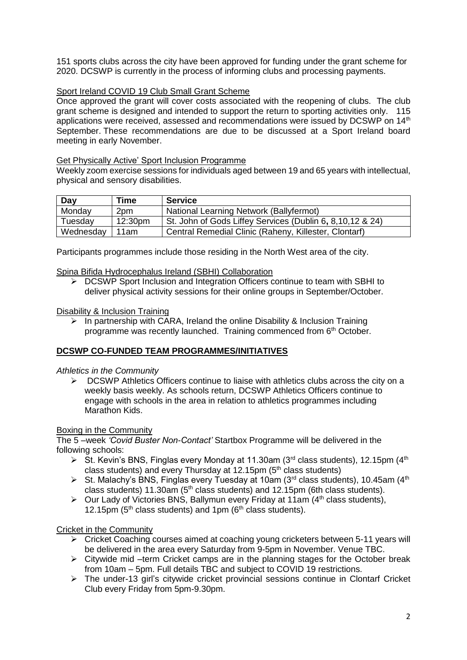151 sports clubs across the city have been approved for funding under the grant scheme for 2020. DCSWP is currently in the process of informing clubs and processing payments.

# Sport Ireland COVID 19 Club Small Grant Scheme

Once approved the grant will cover costs associated with the reopening of clubs. The club grant scheme is designed and intended to support the return to sporting activities only. 115 applications were received, assessed and recommendations were issued by DCSWP on 14<sup>th</sup> September. These recommendations are due to be discussed at a Sport Ireland board meeting in early November.

## Get Physically Active' Sport Inclusion Programme

Weekly zoom exercise sessions for individuals aged between 19 and 65 years with intellectual, physical and sensory disabilities.

| Day       | <b>Time</b> | <b>Service</b>                                            |
|-----------|-------------|-----------------------------------------------------------|
| Monday    | 2pm         | National Learning Network (Ballyfermot)                   |
| Tuesday   | 12:30pm     | St. John of Gods Liffey Services (Dublin 6, 8,10,12 & 24) |
| Wednesday | 11am        | Central Remedial Clinic (Raheny, Killester, Clontarf)     |

Participants programmes include those residing in the North West area of the city.

## Spina Bifida Hydrocephalus Ireland (SBHI) Collaboration

 $\geq$  DCSWP Sport Inclusion and Integration Officers continue to team with SBHI to deliver physical activity sessions for their online groups in September/October.

## Disability & Inclusion Training

 In partnership with CARA, Ireland the online Disability & Inclusion Training programme was recently launched. Training commenced from 6th October.

# **DCSWP CO-FUNDED TEAM PROGRAMMES/INITIATIVES**

# *Athletics in the Community*

 $\triangleright$  DCSWP Athletics Officers continue to liaise with athletics clubs across the city on a weekly basis weekly. As schools return, DCSWP Athletics Officers continue to engage with schools in the area in relation to athletics programmes including Marathon Kids.

# Boxing in the Community

The 5 –week *'Covid Buster Non-Contact'* Startbox Programme will be delivered in the following schools:

- $\triangleright$  St. Kevin's BNS, Finglas every Monday at 11.30am (3<sup>rd</sup> class students), 12.15pm (4<sup>th</sup>) class students) and every Thursday at 12.15pm  $(5<sup>th</sup>$  class students)
- $\triangleright$  St. Malachy's BNS, Finglas every Tuesday at 10am (3<sup>rd</sup> class students), 10.45am (4<sup>th</sup>) class students) 11.30am ( $5<sup>th</sup>$  class students) and 12.15pm (6th class students).
- $\triangleright$  Our Lady of Victories BNS, Ballymun every Friday at 11am (4<sup>th</sup> class students), 12.15pm ( $5<sup>th</sup>$  class students) and 1pm ( $6<sup>th</sup>$  class students).

#### Cricket in the Community

- Cricket Coaching courses aimed at coaching young cricketers between 5-11 years will be delivered in the area every Saturday from 9-5pm in November. Venue TBC.
- $\triangleright$  Citywide mid –term Cricket camps are in the planning stages for the October break from 10am – 5pm. Full details TBC and subject to COVID 19 restrictions.
- $\triangleright$  The under-13 girl's citywide cricket provincial sessions continue in Clontarf Cricket Club every Friday from 5pm-9.30pm.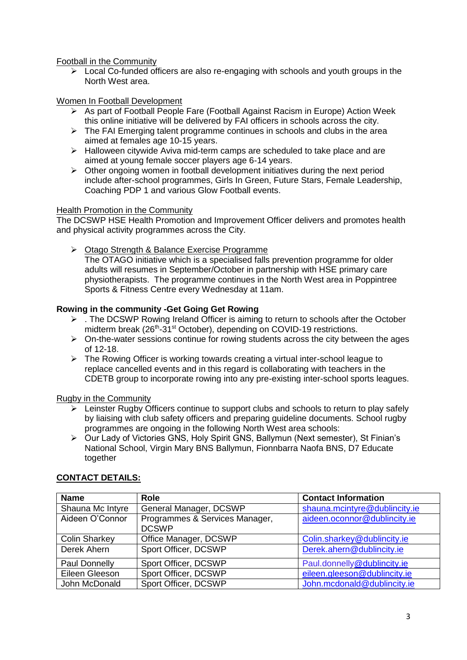Football in the Community

 $\triangleright$  Local Co-funded officers are also re-engaging with schools and youth groups in the North West area.

# Women In Football Development

- $\triangleright$  As part of Football People Fare (Football Against Racism in Europe) Action Week this online initiative will be delivered by FAI officers in schools across the city.
- $\triangleright$  The FAI Emerging talent programme continues in schools and clubs in the area aimed at females age 10-15 years.
- $\triangleright$  Halloween citywide Aviva mid-term camps are scheduled to take place and are aimed at young female soccer players age 6-14 years.
- $\triangleright$  Other ongoing women in football development initiatives during the next period include after-school programmes, Girls In Green, Future Stars, Female Leadership, Coaching PDP 1 and various Glow Football events.

## Health Promotion in the Community

The DCSWP HSE Health Promotion and Improvement Officer delivers and promotes health and physical activity programmes across the City.

▶ Otago Strength & Balance Exercise Programme

The OTAGO initiative which is a specialised falls prevention programme for older adults will resumes in September/October in partnership with HSE primary care physiotherapists. The programme continues in the North West area in Poppintree Sports & Fitness Centre every Wednesday at 11am.

# **Rowing in the community -Get Going Get Rowing**

- $\triangleright$  . The DCSWP Rowing Ireland Officer is aiming to return to schools after the October midterm break (26<sup>th</sup>-31<sup>st</sup> October), depending on COVID-19 restrictions.
- $\triangleright$  On-the-water sessions continue for rowing students across the city between the ages of 12-18.
- $\triangleright$  The Rowing Officer is working towards creating a virtual inter-school league to replace cancelled events and in this regard is collaborating with teachers in the CDETB group to incorporate rowing into any pre-existing inter-school sports leagues.

Rugby in the Community

- $\triangleright$  Leinster Rugby Officers continue to support clubs and schools to return to play safely by liaising with club safety officers and preparing guideline documents. School rugby programmes are ongoing in the following North West area schools:
- Our Lady of Victories GNS, Holy Spirit GNS, Ballymun (Next semester), St Finian's National School, Virgin Mary BNS Ballymun, Fionnbarra Naofa BNS, D7 Educate together

| <b>Name</b>          | <b>Role</b>                    | <b>Contact Information</b>    |
|----------------------|--------------------------------|-------------------------------|
| Shauna Mc Intyre     | General Manager, DCSWP         | shauna.mcintyre@dublincity.ie |
| Aideen O'Connor      | Programmes & Services Manager, | aideen.oconnor@dublincity.ie  |
|                      | <b>DCSWP</b>                   |                               |
| <b>Colin Sharkey</b> | Office Manager, DCSWP          | Colin.sharkey@dublincity.ie   |
| Derek Ahern          | Sport Officer, DCSWP           | Derek.ahern@dublincity.ie     |
| Paul Donnelly        | Sport Officer, DCSWP           | Paul.donnelly@dublincity.ie   |
| Eileen Gleeson       | Sport Officer, DCSWP           | eileen.gleeson@dublincity.ie  |
| John McDonald        | Sport Officer, DCSWP           | John.mcdonald@dublincity.ie   |

#### **CONTACT DETAILS:**